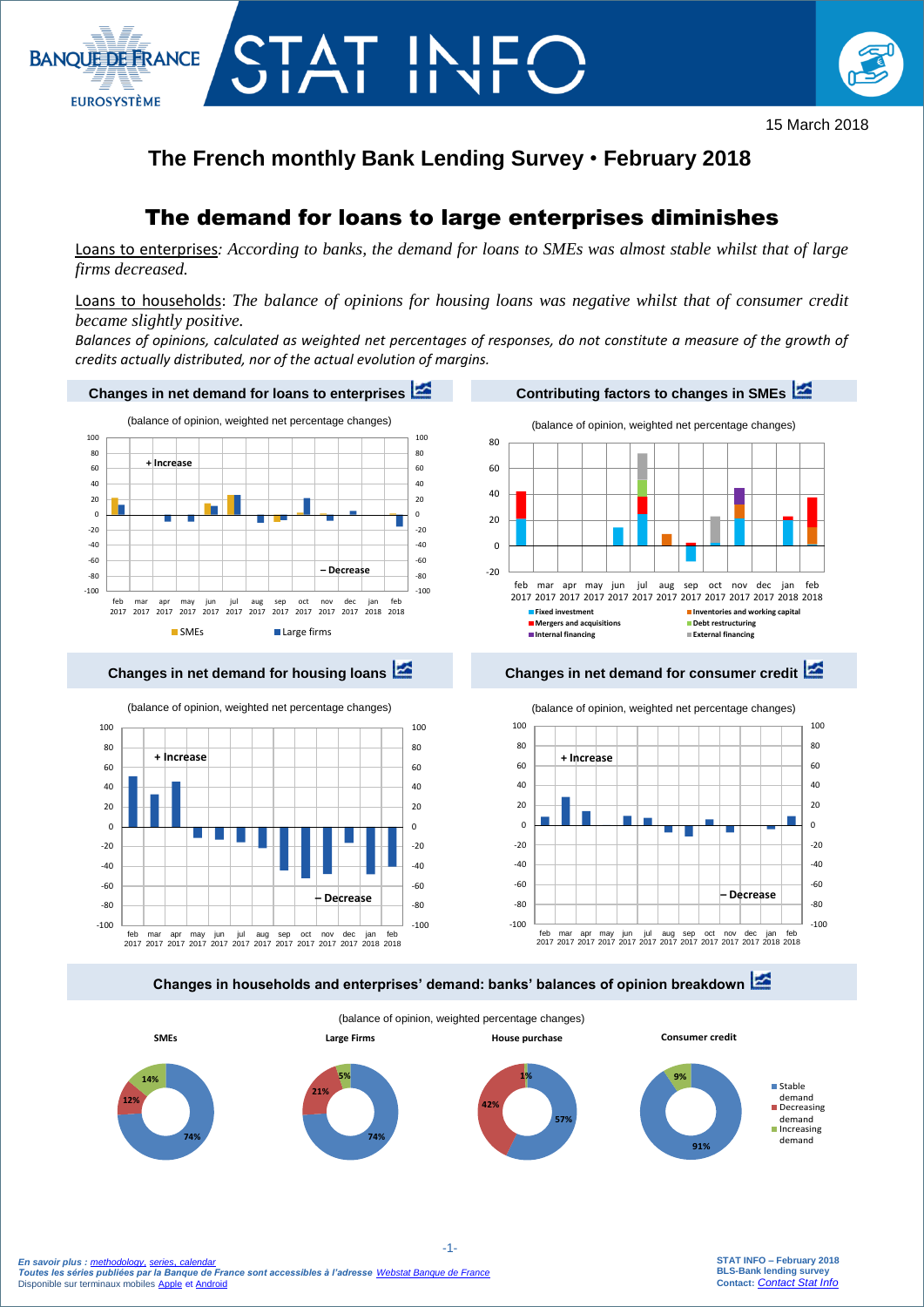



## **The French monthly Bank Lending Survey** • **February 2018**

# The demand for loans to large enterprises diminishes

Loans to enterprises*: According to banks, the demand for loans to SMEs was almost stable whilst that of large firms decreased.* 

Loans to households: *The balance of opinions for housing loans was negative whilst that of consumer credit became slightly positive.*

*Balances of opinions, calculated as weighted net percentages of responses, do not constitute a measure of the growth of credits actually distributed, nor of the actual evolution of margins.*





jun 2017 jul 2017 aug 2017 sep 2017 oct 2017 nov 2017 dec 2017 jan 2018 feb 2018 **Fixed investment**<br>**Example 20 Inventories and working capital**<br>**In** Debt restructuring **Mergers and acquisitions <b>CONF Mergers and acquisitions Debt restructuring Debt restructuring Internal financing External financing**

### **Changes in net demand for housing loans Changes in net demand for consumer credit**



**Changes in households and enterprises' demand: banks' balances of opinion breakdown** 



 -1-  *En savoir plus : [methodology](https://www.banque-france.fr/en/statistics/access-series/methodologies), [series](http://webstat.banque-france.fr/en/browse.do?node=5384393)*, *[calendar](https://www.banque-france.fr/en/statistics/calendar) Toutes les séries publiées par la Banque de France sont accessibles à l'adresse [Webstat Banque de France](http://webstat.banque-france.fr/fr/home.do)* Disponible sur terminaux mobiles [Apple](https://itunes.apple.com/fr/app/banquefrance/id663817914?mt=8) e[t Android](https://play.google.com/store/apps/details?id=fr.bdf.mobile&feature=search_result#?t=W251bGwsMSwyLDEsImZyLmJkZi5tb2JpbGUiXQ)